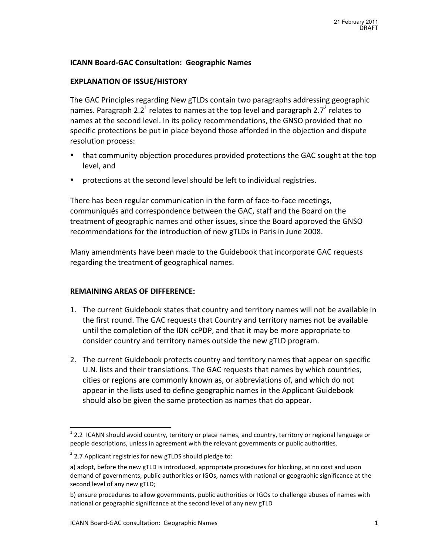### **ICANN Board-GAC Consultation: Geographic Names**

#### **EXPLANATION OF ISSUE/HISTORY**

The GAC Principles regarding New gTLDs contain two paragraphs addressing geographic names. Paragraph 2.2<sup>1</sup> relates to names at the top level and paragraph 2.7<sup>2</sup> relates to names at the second level. In its policy recommendations, the GNSO provided that no specific protections be put in place beyond those afforded in the objection and dispute resolution process:

- that community objection procedures provided protections the GAC sought at the top level, and
- protections at the second level should be left to individual registries.

There has been regular communication in the form of face-to-face meetings, communiqués and correspondence between the GAC, staff and the Board on the treatment of geographic names and other issues, since the Board approved the GNSO recommendations for the introduction of new gTLDs in Paris in June 2008.

Many amendments have been made to the Guidebook that incorporate GAC requests regarding the treatment of geographical names.

#### **REMAINING AREAS OF DIFFERENCE:**

- 1. The current Guidebook states that country and territory names will not be available in the first round. The GAC requests that Country and territory names not be available until the completion of the IDN ccPDP, and that it may be more appropriate to consider country and territory names outside the new gTLD program.
- 2. The current Guidebook protects country and territory names that appear on specific U.N. lists and their translations. The GAC requests that names by which countries, cities or regions are commonly known as, or abbreviations of, and which do not appear in the lists used to define geographic names in the Applicant Guidebook should also be given the same protection as names that do appear.

<sup>&</sup>lt;sup>1</sup> 2.2 ICANN should avoid country, territory or place names, and country, territory or regional language or people descriptions, unless in agreement with the relevant governments or public authorities.

 $2$  2.7 Applicant registries for new gTLDS should pledge to:

a) adopt, before the new gTLD is introduced, appropriate procedures for blocking, at no cost and upon demand of governments, public authorities or IGOs, names with national or geographic significance at the second level of any new gTLD;

b) ensure procedures to allow governments, public authorities or IGOs to challenge abuses of names with national or geographic significance at the second level of any new gTLD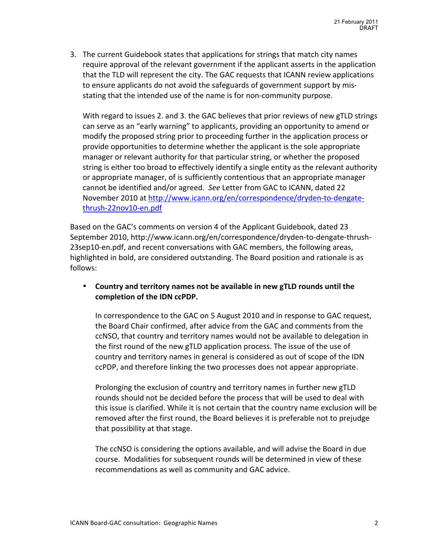3. The current Guidebook states that applications for strings that match city names require approval of the relevant government if the applicant asserts in the application that the TLD will represent the city. The GAC requests that ICANN review applications to ensure applicants do not avoid the safeguards of government support by misstating that the intended use of the name is for non-community purpose.

With regard to issues 2. and 3. the GAC believes that prior reviews of new gTLD strings can serve as an "early warning" to applicants, providing an opportunity to amend or modify the proposed string prior to proceeding further in the application process or provide opportunities to determine whether the applicant is the sole appropriate manager or relevant authority for that particular string, or whether the proposed string is either too broad to effectively identify a single entity as the relevant authority or appropriate manager, of is sufficiently contentious that an appropriate manager cannot be identified and/or agreed. See Letter from GAC to ICANN, dated 22 November 2010 at http://www.icann.org/en/correspondence/dryden-to-dengatethrush-22nov10-en.pdf

Based on the GAC's comments on version 4 of the Applicant Guidebook, dated 23 September 2010, http://www.icann.org/en/correspondence/dryden-to-dengate-thrush-23sep10-en.pdf, and recent conversations with GAC members, the following areas, highlighted in bold, are considered outstanding. The Board position and rationale is as follows:

• Country and territory names not be available in new gTLD rounds until the completion of the IDN ccPDP.

In correspondence to the GAC on 5 August 2010 and in response to GAC request, the Board Chair confirmed, after advice from the GAC and comments from the ccNSO, that country and territory names would not be available to delegation in the first round of the new gTLD application process. The issue of the use of country and territory names in general is considered as out of scope of the IDN ccPDP, and therefore linking the two processes does not appear appropriate.

Prolonging the exclusion of country and territory names in further new gTLD rounds should not be decided before the process that will be used to deal with this issue is clarified. While it is not certain that the country name exclusion will be removed after the first round, the Board believes it is preferable not to prejudge that possibility at that stage.

The ccNSO is considering the options available, and will advise the Board in due course. Modalities for subsequent rounds will be determined in view of these recommendations as well as community and GAC advice.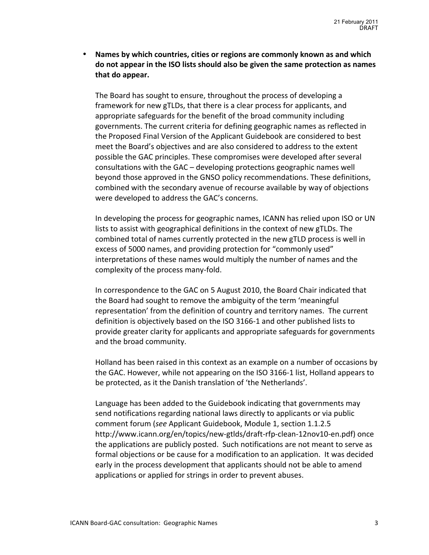Names by which countries, cities or regions are commonly known as and which do not appear in the ISO lists should also be given the same protection as names that do appear.

The Board has sought to ensure, throughout the process of developing a framework for new gTLDs, that there is a clear process for applicants, and appropriate safeguards for the benefit of the broad community including governments. The current criteria for defining geographic names as reflected in the Proposed Final Version of the Applicant Guidebook are considered to best meet the Board's objectives and are also considered to address to the extent possible the GAC principles. These compromises were developed after several consultations with the GAC – developing protections geographic names well beyond those approved in the GNSO policy recommendations. These definitions, combined with the secondary avenue of recourse available by way of objections were developed to address the GAC's concerns.

In developing the process for geographic names, ICANN has relied upon ISO or UN lists to assist with geographical definitions in the context of new gTLDs. The combined total of names currently protected in the new gTLD process is well in excess of 5000 names, and providing protection for "commonly used" interpretations of these names would multiply the number of names and the complexity of the process many-fold.

In correspondence to the GAC on 5 August 2010, the Board Chair indicated that the Board had sought to remove the ambiguity of the term 'meaningful representation' from the definition of country and territory names. The current definition is objectively based on the ISO 3166-1 and other published lists to provide greater clarity for applicants and appropriate safeguards for governments and the broad community.

Holland has been raised in this context as an example on a number of occasions by the GAC. However, while not appearing on the ISO 3166-1 list, Holland appears to be protected, as it the Danish translation of 'the Netherlands'.

Language has been added to the Guidebook indicating that governments may send notifications regarding national laws directly to applicants or via public comment forum (see Applicant Guidebook, Module 1, section 1.1.2.5 http://www.icann.org/en/topics/new-gtlds/draft-rfp-clean-12nov10-en.pdf) once the applications are publicly posted. Such notifications are not meant to serve as formal objections or be cause for a modification to an application. It was decided early in the process development that applicants should not be able to amend applications or applied for strings in order to prevent abuses.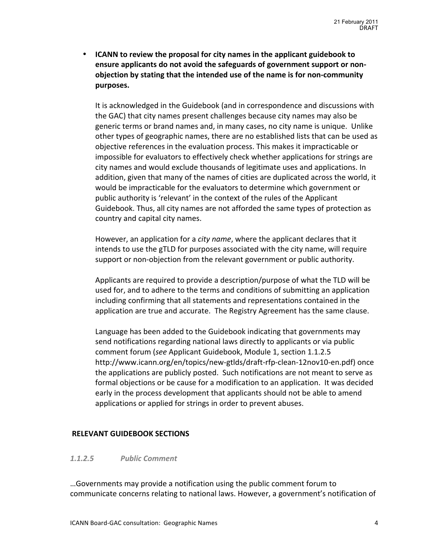• **ICANN to review the proposal for city names in the applicant guidebook to** ensure applicants do not avoid the safeguards of government support or non**objection by stating that the intended use of the name is for non-community purposes.**

It is acknowledged in the Guidebook (and in correspondence and discussions with the GAC) that city names present challenges because city names may also be generic terms or brand names and, in many cases, no city name is unique. Unlike other types of geographic names, there are no established lists that can be used as objective references in the evaluation process. This makes it impracticable or impossible for evaluators to effectively check whether applications for strings are city names and would exclude thousands of legitimate uses and applications. In addition, given that many of the names of cities are duplicated across the world, it would be impracticable for the evaluators to determine which government or public authority is 'relevant' in the context of the rules of the Applicant Guidebook. Thus, all city names are not afforded the same types of protection as country and capital city names.

However, an application for a *city name*, where the applicant declares that it intends to use the gTLD for purposes associated with the city name, will require support or non-objection from the relevant government or public authority.

Applicants are required to provide a description/purpose of what the TLD will be used for, and to adhere to the terms and conditions of submitting an application including confirming that all statements and representations contained in the application are true and accurate. The Registry Agreement has the same clause.

Language has been added to the Guidebook indicating that governments may send notifications regarding national laws directly to applicants or via public comment forum (*see* Applicant Guidebook, Module 1, section 1.1.2.5 http://www.icann.org/en/topics/new-gtlds/draft-rfp-clean-12nov10-en.pdf) once the applications are publicly posted. Such notifications are not meant to serve as formal objections or be cause for a modification to an application. It was decided early in the process development that applicants should not be able to amend applications or applied for strings in order to prevent abuses.

### **RELEVANT GUIDEBOOK SECTIONS**

### *1.1.2.5 Public%Comment*

...Governments may provide a notification using the public comment forum to communicate concerns relating to national laws. However, a government's notification of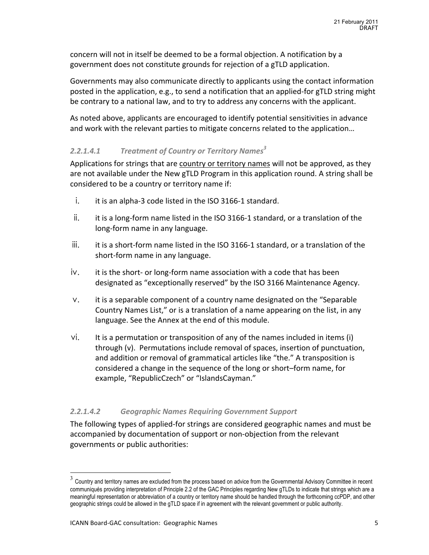concern will not in itself be deemed to be a formal objection. A notification by a government does not constitute grounds for rejection of a gTLD application.

Governments may also communicate directly to applicants using the contact information posted in the application, e.g., to send a notification that an applied-for gTLD string might be contrary to a national law, and to try to address any concerns with the applicant.

As noted above, applicants are encouraged to identify potential sensitivities in advance and work with the relevant parties to mitigate concerns related to the application...

# *2.2.1.4.1 Treatment%of%Country%or%Territory%Names<sup>3</sup>*

Applications for strings that are country or territory names will not be approved, as they are not available under the New gTLD Program in this application round. A string shall be considered to be a country or territory name if:

- $i.$  it is an alpha-3 code listed in the ISO 3166-1 standard.
- ii. it is a long-form name listed in the ISO 3166-1 standard, or a translation of the long-form name in any language.
- iii. it is a short-form name listed in the ISO 3166-1 standard, or a translation of the short-form name in any language.
- iv. it is the short- or long-form name association with a code that has been designated as "exceptionally reserved" by the ISO 3166 Maintenance Agency.
- $v.$  it is a separable component of a country name designated on the "Separable" Country Names List," or is a translation of a name appearing on the list, in any language. See the Annex at the end of this module.
- $vi.$  It is a permutation or transposition of any of the names included in items (i) through (v). Permutations include removal of spaces, insertion of punctuation, and addition or removal of grammatical articles like "the." A transposition is considered a change in the sequence of the long or short–form name, for example, "RepublicCzech" or "IslandsCayman."

# 2.2.1.4.2 *Geographic Names Requiring Government Support*

The following types of applied-for strings are considered geographic names and must be accompanied by documentation of support or non-objection from the relevant governments or public authorities:

 <sup>3</sup> Country and territory names are excluded from the process based on advice from the Governmental Advisory Committee in recent communiqués providing interpretation of Principle 2.2 of the GAC Principles regarding New gTLDs to indicate that strings which are a meaningful representation or abbreviation of a country or territory name should be handled through the forthcoming ccPDP, and other geographic strings could be allowed in the gTLD space if in agreement with the relevant government or public authority.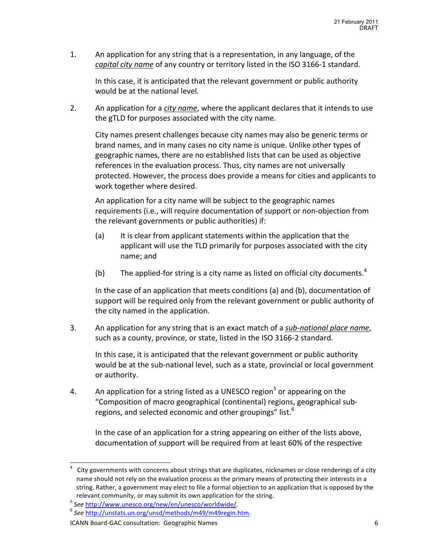1. An application for any string that is a representation, in any language, of the *capital city name* of any country or territory listed in the ISO 3166-1 standard.

In this case, it is anticipated that the relevant government or public authority would be at the national level.

2. An application for a *city name*, where the applicant declares that it intends to use the gTLD for purposes associated with the city name.

City names present challenges because city names may also be generic terms or brand names, and in many cases no city name is unique. Unlike other types of geographic names, there are no established lists that can be used as objective references in the evaluation process. Thus, city names are not universally protected. However, the process does provide a means for cities and applicants to work together where desired.

An application for a city name will be subject to the geographic names requirements (i.e., will require documentation of support or non-objection from the relevant governments or public authorities) if:

- (a) It is clear from applicant statements within the application that the applicant will use the TLD primarily for purposes associated with the city name; and
- (b) The applied-for string is a city name as listed on official city documents.<sup>4</sup>

In the case of an application that meets conditions (a) and (b), documentation of support will be required only from the relevant government or public authority of the city named in the application.

3. An application for any string that is an exact match of a *sub-national place name*, such as a county, province, or state, listed in the ISO 3166-2 standard.

In this case, it is anticipated that the relevant government or public authority would be at the sub-national level, such as a state, provincial or local government or authority.

4. An application for a string listed as a UNESCO region<sup>5</sup> or appearing on the "Composition of macro geographical (continental) regions, geographical subregions, and selected economic and other groupings" list.<sup>6</sup>

In the case of an application for a string appearing on either of the lists above, documentation of support will be required from at least 60% of the respective

<sup>&</sup>lt;sup>4</sup> City governments with concerns about strings that are duplicates, nicknames or close renderings of a city name should not rely on the evaluation process as the primary means of protecting their interests in a string. Rather, a government may elect to file a formal objection to an application that is opposed by the

relevant community, or may submit its own application for the string.<br>
<sup>5</sup> *See* http://www.unesco.org/new/en/unesco/worldwide/. 6 *See* http://unstats.un.org/unsd/methods/m49/m49regin.htm.

ICANN Board-GAC consultation: Geographic Names 6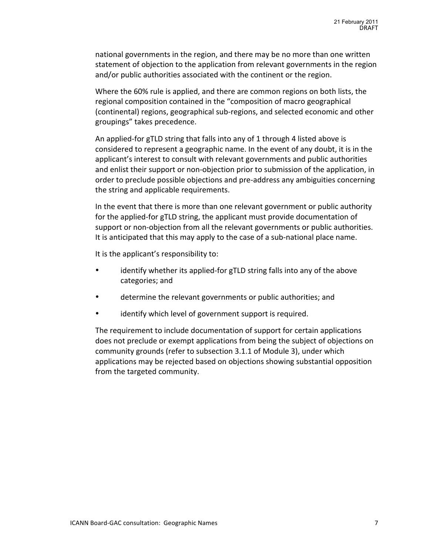national governments in the region, and there may be no more than one written statement of objection to the application from relevant governments in the region and/or public authorities associated with the continent or the region.

Where the 60% rule is applied, and there are common regions on both lists, the regional composition contained in the "composition of macro geographical (continental) regions, geographical sub-regions, and selected economic and other groupings" takes precedence.

An applied-for gTLD string that falls into any of 1 through 4 listed above is considered to represent a geographic name. In the event of any doubt, it is in the applicant's interest to consult with relevant governments and public authorities and enlist their support or non-objection prior to submission of the application, in order to preclude possible objections and pre-address any ambiguities concerning the string and applicable requirements.

In the event that there is more than one relevant government or public authority for the applied-for gTLD string, the applicant must provide documentation of support or non-objection from all the relevant governments or public authorities. It is anticipated that this may apply to the case of a sub-national place name.

It is the applicant's responsibility to:

- identify whether its applied-for gTLD string falls into any of the above categories; and
- determine the relevant governments or public authorities; and
- identify which level of government support is required.

The requirement to include documentation of support for certain applications does not preclude or exempt applications from being the subject of objections on community grounds (refer to subsection 3.1.1 of Module 3), under which applications may be rejected based on objections showing substantial opposition from the targeted community.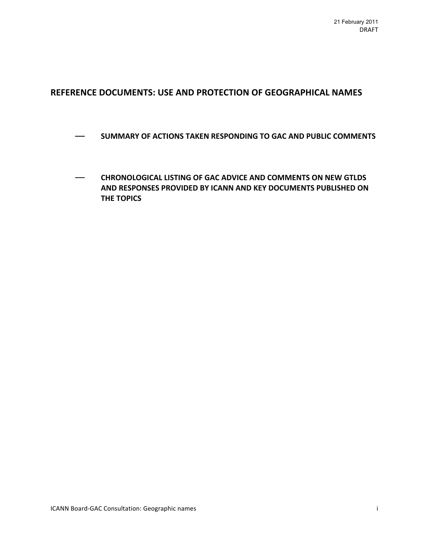# REFERENCE DOCUMENTS: USE AND PROTECTION OF GEOGRAPHICAL NAMES

- $-$  SUMMARY OF ACTIONS TAKEN RESPONDING TO GAC AND PUBLIC COMMENTS
- $-$  **CHRONOLOGICAL LISTING OF GAC ADVICE AND COMMENTS ON NEW GTLDS** AND RESPONSES PROVIDED BY ICANN AND KEY DOCUMENTS PUBLISHED ON **THE TOPICS**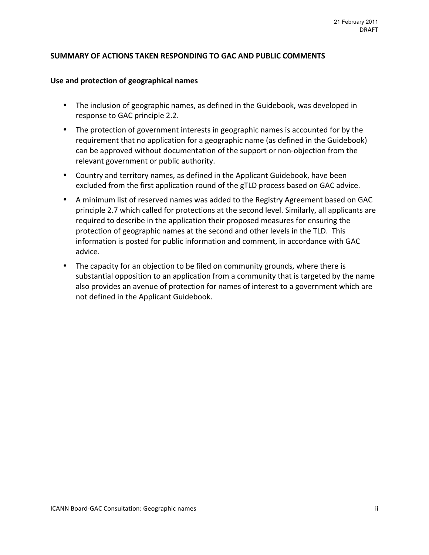### SUMMARY OF ACTIONS TAKEN RESPONDING TO GAC AND PUBLIC COMMENTS

#### Use and protection of geographical names

- The inclusion of geographic names, as defined in the Guidebook, was developed in response to GAC principle 2.2.
- The protection of government interests in geographic names is accounted for by the requirement that no application for a geographic name (as defined in the Guidebook) can be approved without documentation of the support or non-objection from the relevant government or public authority.
- Country and territory names, as defined in the Applicant Guidebook, have been excluded from the first application round of the gTLD process based on GAC advice.
- A minimum list of reserved names was added to the Registry Agreement based on GAC principle 2.7 which called for protections at the second level. Similarly, all applicants are required to describe in the application their proposed measures for ensuring the protection of geographic names at the second and other levels in the TLD. This information is posted for public information and comment, in accordance with GAC advice.
- The capacity for an objection to be filed on community grounds, where there is substantial opposition to an application from a community that is targeted by the name also provides an avenue of protection for names of interest to a government which are not defined in the Applicant Guidebook.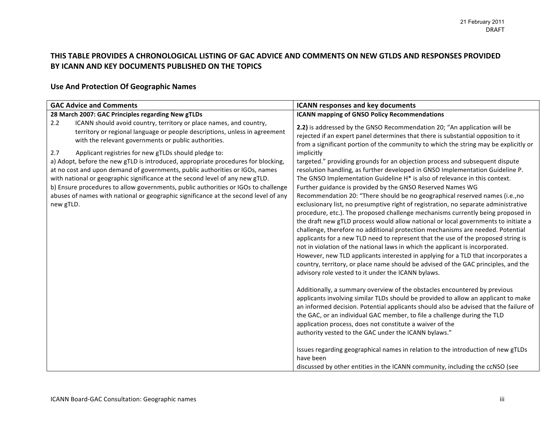## THIS TABLE PROVIDES A CHRONOLOGICAL LISTING OF GAC ADVICE AND COMMENTS ON NEW GTLDS AND RESPONSES PROVIDED BY ICANN AND KEY DOCUMENTS PUBLISHED ON THE TOPICS

# **Use And Protection Of Geographic Names**

| <b>GAC Advice and Comments</b>                                                                                                                                                                                                                                                                                                                                                                                                               | <b>ICANN responses and key documents</b>                                                                                                                                                                                                                                                                                                                                                                                                                                                                                                                                                                                                                                                                                                                                                                                                                                                                                                                                                                                                                                                    |
|----------------------------------------------------------------------------------------------------------------------------------------------------------------------------------------------------------------------------------------------------------------------------------------------------------------------------------------------------------------------------------------------------------------------------------------------|---------------------------------------------------------------------------------------------------------------------------------------------------------------------------------------------------------------------------------------------------------------------------------------------------------------------------------------------------------------------------------------------------------------------------------------------------------------------------------------------------------------------------------------------------------------------------------------------------------------------------------------------------------------------------------------------------------------------------------------------------------------------------------------------------------------------------------------------------------------------------------------------------------------------------------------------------------------------------------------------------------------------------------------------------------------------------------------------|
| 28 March 2007: GAC Principles regarding New gTLDs                                                                                                                                                                                                                                                                                                                                                                                            | <b>ICANN mapping of GNSO Policy Recommendations</b>                                                                                                                                                                                                                                                                                                                                                                                                                                                                                                                                                                                                                                                                                                                                                                                                                                                                                                                                                                                                                                         |
| ICANN should avoid country, territory or place names, and country,<br>2.2<br>territory or regional language or people descriptions, unless in agreement<br>with the relevant governments or public authorities.                                                                                                                                                                                                                              | 2.2) is addressed by the GNSO Recommendation 20; "An application will be<br>rejected if an expert panel determines that there is substantial opposition to it<br>from a significant portion of the community to which the string may be explicitly or                                                                                                                                                                                                                                                                                                                                                                                                                                                                                                                                                                                                                                                                                                                                                                                                                                       |
| Applicant registries for new gTLDs should pledge to:<br>2.7                                                                                                                                                                                                                                                                                                                                                                                  | implicitly                                                                                                                                                                                                                                                                                                                                                                                                                                                                                                                                                                                                                                                                                                                                                                                                                                                                                                                                                                                                                                                                                  |
| a) Adopt, before the new gTLD is introduced, appropriate procedures for blocking,<br>at no cost and upon demand of governments, public authorities or IGOs, names<br>with national or geographic significance at the second level of any new gTLD.<br>b) Ensure procedures to allow governments, public authorities or IGOs to challenge<br>abuses of names with national or geographic significance at the second level of any<br>new gTLD. | targeted." providing grounds for an objection process and subsequent dispute<br>resolution handling, as further developed in GNSO Implementation Guideline P.<br>The GNSO Implementation Guideline H* is also of relevance in this context.<br>Further guidance is provided by the GNSO Reserved Names WG<br>Recommendation 20: "There should be no geographical reserved names (i.e., no<br>exclusionary list, no presumptive right of registration, no separate administrative<br>procedure, etc.). The proposed challenge mechanisms currently being proposed in<br>the draft new gTLD process would allow national or local governments to initiate a<br>challenge, therefore no additional protection mechanisms are needed. Potential<br>applicants for a new TLD need to represent that the use of the proposed string is<br>not in violation of the national laws in which the applicant is incorporated.<br>However, new TLD applicants interested in applying for a TLD that incorporates a<br>country, territory, or place name should be advised of the GAC principles, and the |
|                                                                                                                                                                                                                                                                                                                                                                                                                                              | advisory role vested to it under the ICANN bylaws.<br>Additionally, a summary overview of the obstacles encountered by previous<br>applicants involving similar TLDs should be provided to allow an applicant to make<br>an informed decision. Potential applicants should also be advised that the failure of<br>the GAC, or an individual GAC member, to file a challenge during the TLD<br>application process, does not constitute a waiver of the<br>authority vested to the GAC under the ICANN bylaws."<br>Issues regarding geographical names in relation to the introduction of new gTLDs<br>have been<br>discussed by other entities in the ICANN community, including the ccNSO (see                                                                                                                                                                                                                                                                                                                                                                                             |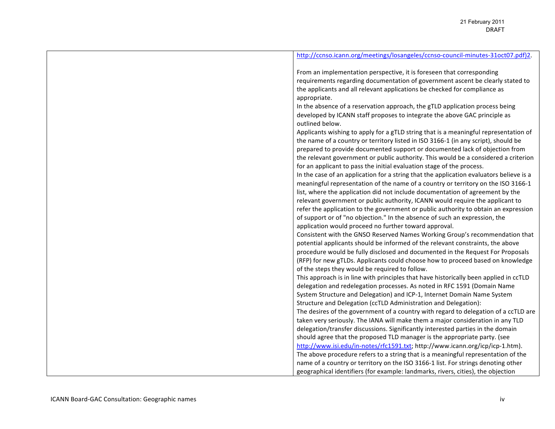| http://ccnso.icann.org/meetings/losangeles/ccnso-council-minutes-31oct07.pdf)2.                                                                                                                                                                                                                                                                                                                                           |
|---------------------------------------------------------------------------------------------------------------------------------------------------------------------------------------------------------------------------------------------------------------------------------------------------------------------------------------------------------------------------------------------------------------------------|
| From an implementation perspective, it is foreseen that corresponding<br>requirements regarding documentation of government ascent be clearly stated to<br>the applicants and all relevant applications be checked for compliance as<br>appropriate.                                                                                                                                                                      |
| In the absence of a reservation approach, the gTLD application process being<br>developed by ICANN staff proposes to integrate the above GAC principle as<br>outlined below.                                                                                                                                                                                                                                              |
| Applicants wishing to apply for a gTLD string that is a meaningful representation of<br>the name of a country or territory listed in ISO 3166-1 (in any script), should be<br>prepared to provide documented support or documented lack of objection from<br>the relevant government or public authority. This would be a considered a criterion<br>for an applicant to pass the initial evaluation stage of the process. |
| In the case of an application for a string that the application evaluators believe is a<br>meaningful representation of the name of a country or territory on the ISO 3166-1<br>list, where the application did not include documentation of agreement by the<br>relevant government or public authority, ICANN would require the applicant to                                                                            |
| refer the application to the government or public authority to obtain an expression<br>of support or of "no objection." In the absence of such an expression, the<br>application would proceed no further toward approval.                                                                                                                                                                                                |
| Consistent with the GNSO Reserved Names Working Group's recommendation that<br>potential applicants should be informed of the relevant constraints, the above<br>procedure would be fully disclosed and documented in the Request For Proposals<br>(RFP) for new gTLDs. Applicants could choose how to proceed based on knowledge<br>of the steps they would be required to follow.                                       |
| This approach is in line with principles that have historically been applied in ccTLD<br>delegation and redelegation processes. As noted in RFC 1591 (Domain Name<br>System Structure and Delegation) and ICP-1, Internet Domain Name System                                                                                                                                                                              |
| Structure and Delegation (ccTLD Administration and Delegation):<br>The desires of the government of a country with regard to delegation of a ccTLD are<br>taken very seriously. The IANA will make them a major consideration in any TLD<br>delegation/transfer discussions. Significantly interested parties in the domain                                                                                               |
| should agree that the proposed TLD manager is the appropriate party. (see<br>http://www.isi.edu/in-notes/rfc1591.txt; http://www.icann.org/icp/icp-1.htm).                                                                                                                                                                                                                                                                |
| The above procedure refers to a string that is a meaningful representation of the<br>name of a country or territory on the ISO 3166-1 list. For strings denoting other<br>geographical identifiers (for example: landmarks, rivers, cities), the objection                                                                                                                                                                |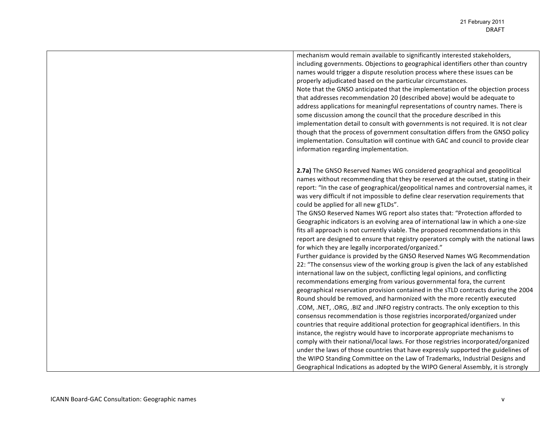| mechanism would remain available to significantly interested stakeholders,<br>including governments. Objections to geographical identifiers other than country<br>names would trigger a dispute resolution process where these issues can be<br>properly adjudicated based on the particular circumstances.<br>Note that the GNSO anticipated that the implementation of the objection process<br>that addresses recommendation 20 (described above) would be adequate to<br>address applications for meaningful representations of country names. There is<br>some discussion among the council that the procedure described in this<br>implementation detail to consult with governments is not required. It is not clear<br>though that the process of government consultation differs from the GNSO policy<br>implementation. Consultation will continue with GAC and council to provide clear<br>information regarding implementation.                                                                                                                                                                                                                                                                                                                                          |
|--------------------------------------------------------------------------------------------------------------------------------------------------------------------------------------------------------------------------------------------------------------------------------------------------------------------------------------------------------------------------------------------------------------------------------------------------------------------------------------------------------------------------------------------------------------------------------------------------------------------------------------------------------------------------------------------------------------------------------------------------------------------------------------------------------------------------------------------------------------------------------------------------------------------------------------------------------------------------------------------------------------------------------------------------------------------------------------------------------------------------------------------------------------------------------------------------------------------------------------------------------------------------------------|
| 2.7a) The GNSO Reserved Names WG considered geographical and geopolitical<br>names without recommending that they be reserved at the outset, stating in their<br>report: "In the case of geographical/geopolitical names and controversial names, it<br>was very difficult if not impossible to define clear reservation requirements that<br>could be applied for all new gTLDs".<br>The GNSO Reserved Names WG report also states that: "Protection afforded to<br>Geographic indicators is an evolving area of international law in which a one-size<br>fits all approach is not currently viable. The proposed recommendations in this<br>report are designed to ensure that registry operators comply with the national laws<br>for which they are legally incorporated/organized."<br>Further guidance is provided by the GNSO Reserved Names WG Recommendation<br>22: "The consensus view of the working group is given the lack of any established<br>international law on the subject, conflicting legal opinions, and conflicting<br>recommendations emerging from various governmental fora, the current<br>geographical reservation provision contained in the sTLD contracts during the 2004<br>Round should be removed, and harmonized with the more recently executed |
| .COM, .NET, .ORG, .BIZ and .INFO registry contracts. The only exception to this<br>consensus recommendation is those registries incorporated/organized under<br>countries that require additional protection for geographical identifiers. In this<br>instance, the registry would have to incorporate appropriate mechanisms to<br>comply with their national/local laws. For those registries incorporated/organized<br>under the laws of those countries that have expressly supported the guidelines of<br>the WIPO Standing Committee on the Law of Trademarks, Industrial Designs and<br>Geographical Indications as adopted by the WIPO General Assembly, it is strongly                                                                                                                                                                                                                                                                                                                                                                                                                                                                                                                                                                                                      |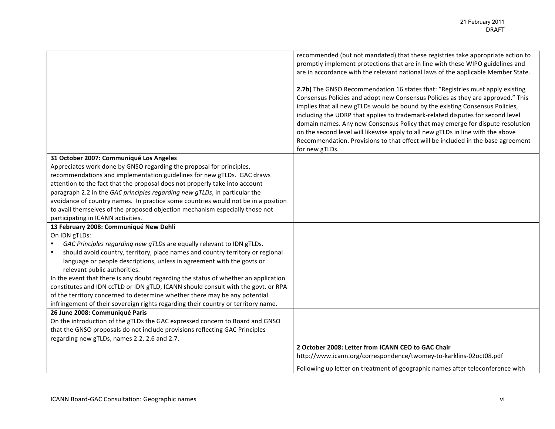|                                                                                             | recommended (but not mandated) that these registries take appropriate action to<br>promptly implement protections that are in line with these WIPO guidelines and<br>are in accordance with the relevant national laws of the applicable Member State.<br>2.7b) The GNSO Recommendation 16 states that: "Registries must apply existing<br>Consensus Policies and adopt new Consensus Policies as they are approved." This<br>implies that all new gTLDs would be bound by the existing Consensus Policies,<br>including the UDRP that applies to trademark-related disputes for second level<br>domain names. Any new Consensus Policy that may emerge for dispute resolution<br>on the second level will likewise apply to all new gTLDs in line with the above<br>Recommendation. Provisions to that effect will be included in the base agreement<br>for new gTLDs. |
|---------------------------------------------------------------------------------------------|-------------------------------------------------------------------------------------------------------------------------------------------------------------------------------------------------------------------------------------------------------------------------------------------------------------------------------------------------------------------------------------------------------------------------------------------------------------------------------------------------------------------------------------------------------------------------------------------------------------------------------------------------------------------------------------------------------------------------------------------------------------------------------------------------------------------------------------------------------------------------|
| 31 October 2007: Communiqué Los Angeles                                                     |                                                                                                                                                                                                                                                                                                                                                                                                                                                                                                                                                                                                                                                                                                                                                                                                                                                                         |
| Appreciates work done by GNSO regarding the proposal for principles,                        |                                                                                                                                                                                                                                                                                                                                                                                                                                                                                                                                                                                                                                                                                                                                                                                                                                                                         |
| recommendations and implementation guidelines for new gTLDs. GAC draws                      |                                                                                                                                                                                                                                                                                                                                                                                                                                                                                                                                                                                                                                                                                                                                                                                                                                                                         |
| attention to the fact that the proposal does not properly take into account                 |                                                                                                                                                                                                                                                                                                                                                                                                                                                                                                                                                                                                                                                                                                                                                                                                                                                                         |
| paragraph 2.2 in the GAC principles regarding new gTLDs, in particular the                  |                                                                                                                                                                                                                                                                                                                                                                                                                                                                                                                                                                                                                                                                                                                                                                                                                                                                         |
| avoidance of country names. In practice some countries would not be in a position           |                                                                                                                                                                                                                                                                                                                                                                                                                                                                                                                                                                                                                                                                                                                                                                                                                                                                         |
| to avail themselves of the proposed objection mechanism especially those not                |                                                                                                                                                                                                                                                                                                                                                                                                                                                                                                                                                                                                                                                                                                                                                                                                                                                                         |
| participating in ICANN activities.                                                          |                                                                                                                                                                                                                                                                                                                                                                                                                                                                                                                                                                                                                                                                                                                                                                                                                                                                         |
| 13 February 2008: Communiqué New Dehli                                                      |                                                                                                                                                                                                                                                                                                                                                                                                                                                                                                                                                                                                                                                                                                                                                                                                                                                                         |
| On IDN gTLDs:<br>GAC Principles regarding new gTLDs are equally relevant to IDN gTLDs.      |                                                                                                                                                                                                                                                                                                                                                                                                                                                                                                                                                                                                                                                                                                                                                                                                                                                                         |
| should avoid country, territory, place names and country territory or regional<br>$\bullet$ |                                                                                                                                                                                                                                                                                                                                                                                                                                                                                                                                                                                                                                                                                                                                                                                                                                                                         |
| language or people descriptions, unless in agreement with the govts or                      |                                                                                                                                                                                                                                                                                                                                                                                                                                                                                                                                                                                                                                                                                                                                                                                                                                                                         |
| relevant public authorities.                                                                |                                                                                                                                                                                                                                                                                                                                                                                                                                                                                                                                                                                                                                                                                                                                                                                                                                                                         |
| In the event that there is any doubt regarding the status of whether an application         |                                                                                                                                                                                                                                                                                                                                                                                                                                                                                                                                                                                                                                                                                                                                                                                                                                                                         |
| constitutes and IDN ccTLD or IDN gTLD, ICANN should consult with the govt. or RPA           |                                                                                                                                                                                                                                                                                                                                                                                                                                                                                                                                                                                                                                                                                                                                                                                                                                                                         |
| of the territory concerned to determine whether there may be any potential                  |                                                                                                                                                                                                                                                                                                                                                                                                                                                                                                                                                                                                                                                                                                                                                                                                                                                                         |
| infringement of their sovereign rights regarding their country or territory name.           |                                                                                                                                                                                                                                                                                                                                                                                                                                                                                                                                                                                                                                                                                                                                                                                                                                                                         |
| 26 June 2008: Communiqué Paris                                                              |                                                                                                                                                                                                                                                                                                                                                                                                                                                                                                                                                                                                                                                                                                                                                                                                                                                                         |
| On the introduction of the gTLDs the GAC expressed concern to Board and GNSO                |                                                                                                                                                                                                                                                                                                                                                                                                                                                                                                                                                                                                                                                                                                                                                                                                                                                                         |
| that the GNSO proposals do not include provisions reflecting GAC Principles                 |                                                                                                                                                                                                                                                                                                                                                                                                                                                                                                                                                                                                                                                                                                                                                                                                                                                                         |
| regarding new gTLDs, names 2.2, 2.6 and 2.7.                                                |                                                                                                                                                                                                                                                                                                                                                                                                                                                                                                                                                                                                                                                                                                                                                                                                                                                                         |
|                                                                                             | 2 October 2008: Letter from ICANN CEO to GAC Chair                                                                                                                                                                                                                                                                                                                                                                                                                                                                                                                                                                                                                                                                                                                                                                                                                      |
|                                                                                             | http://www.icann.org/correspondence/twomey-to-karklins-02oct08.pdf                                                                                                                                                                                                                                                                                                                                                                                                                                                                                                                                                                                                                                                                                                                                                                                                      |
|                                                                                             | Following up letter on treatment of geographic names after teleconference with                                                                                                                                                                                                                                                                                                                                                                                                                                                                                                                                                                                                                                                                                                                                                                                          |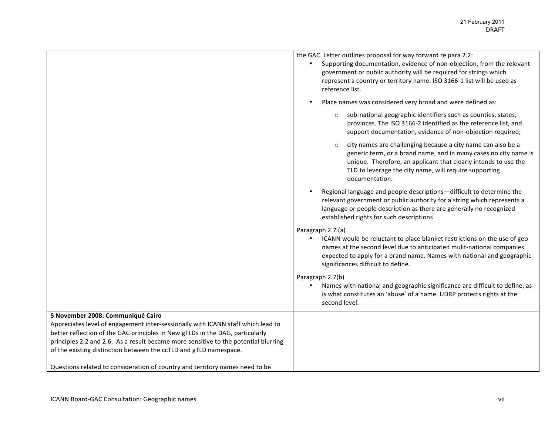|                                                                                                                                                                   | the GAC. Letter outlines proposal for way forward re para 2.2:<br>Supporting documentation, evidence of non-objection, from the relevant<br>government or public authority will be required for strings which<br>represent a country or territory name. ISO 3166-1 list will be used as<br>reference list. |
|-------------------------------------------------------------------------------------------------------------------------------------------------------------------|------------------------------------------------------------------------------------------------------------------------------------------------------------------------------------------------------------------------------------------------------------------------------------------------------------|
|                                                                                                                                                                   | Place names was considered very broad and were defined as:                                                                                                                                                                                                                                                 |
|                                                                                                                                                                   | sub-national geographic identifiers such as counties, states,<br>$\circ$<br>provinces. The ISO 3166-2 identified as the reference list, and<br>support documentation, evidence of non-objection required;                                                                                                  |
|                                                                                                                                                                   | city names are challenging because a city name can also be a<br>$\circ$<br>generic term, or a brand name, and in many cases no city name is<br>unique. Therefore, an applicant that clearly intends to use the<br>TLD to leverage the city name, will require supporting<br>documentation.                 |
|                                                                                                                                                                   | Regional language and people descriptions-difficult to determine the<br>relevant government or public authority for a string which represents a<br>language or people description as there are generally no recognized<br>established rights for such descriptions                                         |
|                                                                                                                                                                   | Paragraph 2.7 (a)<br>ICANN would be reluctant to place blanket restrictions on the use of geo<br>names at the second level due to anticipated mulit-national companies<br>expected to apply for a brand name. Names with national and geographic<br>significances difficult to define.                     |
|                                                                                                                                                                   | Paragraph 2.7(b)<br>Names with national and geographic significance are difficult to define, as<br>is what constitutes an 'abuse' of a name. UDRP protects rights at the<br>second level.                                                                                                                  |
| 5 November 2008: Communiqué Cairo                                                                                                                                 |                                                                                                                                                                                                                                                                                                            |
| Appreciates level of engagement inter-sessionally with ICANN staff which lead to<br>better reflection of the GAC principles in New gTLDs in the DAG, particularly |                                                                                                                                                                                                                                                                                                            |
| principles 2.2 and 2.6. As a result became more sensitive to the potential blurring                                                                               |                                                                                                                                                                                                                                                                                                            |
| of the existing distinction between the ccTLD and gTLD namespace.                                                                                                 |                                                                                                                                                                                                                                                                                                            |
| Questions related to consideration of country and territory names need to be                                                                                      |                                                                                                                                                                                                                                                                                                            |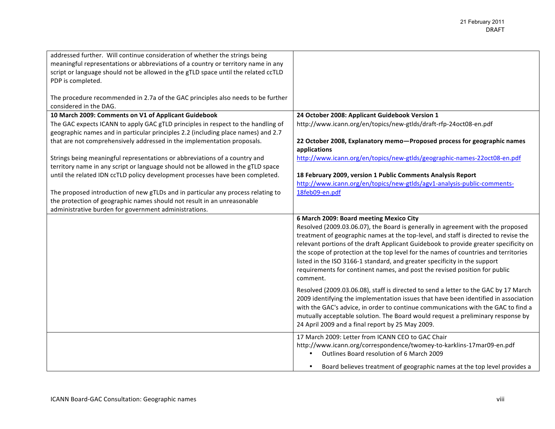| addressed further. Will continue consideration of whether the strings being<br>meaningful representations or abbreviations of a country or territory name in any |                                                                                        |
|------------------------------------------------------------------------------------------------------------------------------------------------------------------|----------------------------------------------------------------------------------------|
| script or language should not be allowed in the gTLD space until the related ccTLD<br>PDP is completed.                                                          |                                                                                        |
| The procedure recommended in 2.7a of the GAC principles also needs to be further<br>considered in the DAG.                                                       |                                                                                        |
| 10 March 2009: Comments on V1 of Applicant Guidebook                                                                                                             | 24 October 2008: Applicant Guidebook Version 1                                         |
| The GAC expects ICANN to apply GAC gTLD principles in respect to the handling of                                                                                 | http://www.icann.org/en/topics/new-gtlds/draft-rfp-24oct08-en.pdf                      |
| geographic names and in particular principles 2.2 (including place names) and 2.7                                                                                |                                                                                        |
| that are not comprehensively addressed in the implementation proposals.                                                                                          | 22 October 2008, Explanatory memo-Proposed process for geographic names                |
|                                                                                                                                                                  | applications                                                                           |
| Strings being meaningful representations or abbreviations of a country and                                                                                       | http://www.icann.org/en/topics/new-gtlds/geographic-names-22oct08-en.pdf               |
| territory name in any script or language should not be allowed in the gTLD space                                                                                 |                                                                                        |
| until the related IDN ccTLD policy development processes have been completed.                                                                                    | 18 February 2009, version 1 Public Comments Analysis Report                            |
|                                                                                                                                                                  | http://www.icann.org/en/topics/new-gtlds/agv1-analysis-public-comments-                |
| The proposed introduction of new gTLDs and in particular any process relating to                                                                                 | 18feb09-en.pdf                                                                         |
| the protection of geographic names should not result in an unreasonable                                                                                          |                                                                                        |
| administrative burden for government administrations.                                                                                                            |                                                                                        |
|                                                                                                                                                                  |                                                                                        |
|                                                                                                                                                                  |                                                                                        |
|                                                                                                                                                                  | 6 March 2009: Board meeting Mexico City                                                |
|                                                                                                                                                                  | Resolved (2009.03.06.07), the Board is generally in agreement with the proposed        |
|                                                                                                                                                                  | treatment of geographic names at the top-level, and staff is directed to revise the    |
|                                                                                                                                                                  | relevant portions of the draft Applicant Guidebook to provide greater specificity on   |
|                                                                                                                                                                  | the scope of protection at the top level for the names of countries and territories    |
|                                                                                                                                                                  | listed in the ISO 3166-1 standard, and greater specificity in the support              |
|                                                                                                                                                                  | requirements for continent names, and post the revised position for public<br>comment. |
|                                                                                                                                                                  |                                                                                        |
|                                                                                                                                                                  | Resolved (2009.03.06.08), staff is directed to send a letter to the GAC by 17 March    |
|                                                                                                                                                                  | 2009 identifying the implementation issues that have been identified in association    |
|                                                                                                                                                                  | with the GAC's advice, in order to continue communications with the GAC to find a      |
|                                                                                                                                                                  | mutually acceptable solution. The Board would request a preliminary response by        |
|                                                                                                                                                                  | 24 April 2009 and a final report by 25 May 2009.                                       |
|                                                                                                                                                                  | 17 March 2009: Letter from ICANN CEO to GAC Chair                                      |
|                                                                                                                                                                  | http://www.icann.org/correspondence/twomey-to-karklins-17mar09-en.pdf                  |
|                                                                                                                                                                  | Outlines Board resolution of 6 March 2009                                              |
|                                                                                                                                                                  | Board believes treatment of geographic names at the top level provides a               |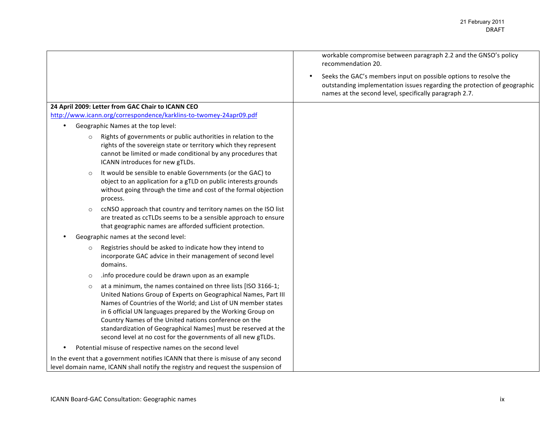|                                                                                                                                                                                                                                                                                                                                                                                                                                                                         | workable compromise between paragraph 2.2 and the GNSO's policy<br>recommendation 20.                                                                                                                  |
|-------------------------------------------------------------------------------------------------------------------------------------------------------------------------------------------------------------------------------------------------------------------------------------------------------------------------------------------------------------------------------------------------------------------------------------------------------------------------|--------------------------------------------------------------------------------------------------------------------------------------------------------------------------------------------------------|
|                                                                                                                                                                                                                                                                                                                                                                                                                                                                         | Seeks the GAC's members input on possible options to resolve the<br>outstanding implementation issues regarding the protection of geographic<br>names at the second level, specifically paragraph 2.7. |
| 24 April 2009: Letter from GAC Chair to ICANN CEO                                                                                                                                                                                                                                                                                                                                                                                                                       |                                                                                                                                                                                                        |
| http://www.icann.org/correspondence/karklins-to-twomey-24apr09.pdf                                                                                                                                                                                                                                                                                                                                                                                                      |                                                                                                                                                                                                        |
| Geographic Names at the top level:                                                                                                                                                                                                                                                                                                                                                                                                                                      |                                                                                                                                                                                                        |
| Rights of governments or public authorities in relation to the<br>$\circ$<br>rights of the sovereign state or territory which they represent<br>cannot be limited or made conditional by any procedures that<br>ICANN introduces for new gTLDs.                                                                                                                                                                                                                         |                                                                                                                                                                                                        |
| It would be sensible to enable Governments (or the GAC) to<br>$\circ$<br>object to an application for a gTLD on public interests grounds<br>without going through the time and cost of the formal objection<br>process.                                                                                                                                                                                                                                                 |                                                                                                                                                                                                        |
| ccNSO approach that country and territory names on the ISO list<br>$\circ$<br>are treated as ccTLDs seems to be a sensible approach to ensure<br>that geographic names are afforded sufficient protection.                                                                                                                                                                                                                                                              |                                                                                                                                                                                                        |
| Geographic names at the second level:                                                                                                                                                                                                                                                                                                                                                                                                                                   |                                                                                                                                                                                                        |
| Registries should be asked to indicate how they intend to<br>$\circ$<br>incorporate GAC advice in their management of second level<br>domains.                                                                                                                                                                                                                                                                                                                          |                                                                                                                                                                                                        |
| .info procedure could be drawn upon as an example<br>$\circ$                                                                                                                                                                                                                                                                                                                                                                                                            |                                                                                                                                                                                                        |
| at a minimum, the names contained on three lists [ISO 3166-1;<br>$\circ$<br>United Nations Group of Experts on Geographical Names, Part III<br>Names of Countries of the World; and List of UN member states<br>in 6 official UN languages prepared by the Working Group on<br>Country Names of the United nations conference on the<br>standardization of Geographical Names] must be reserved at the<br>second level at no cost for the governments of all new gTLDs. |                                                                                                                                                                                                        |
| Potential misuse of respective names on the second level                                                                                                                                                                                                                                                                                                                                                                                                                |                                                                                                                                                                                                        |
| In the event that a government notifies ICANN that there is misuse of any second<br>level domain name, ICANN shall notify the registry and request the suspension of                                                                                                                                                                                                                                                                                                    |                                                                                                                                                                                                        |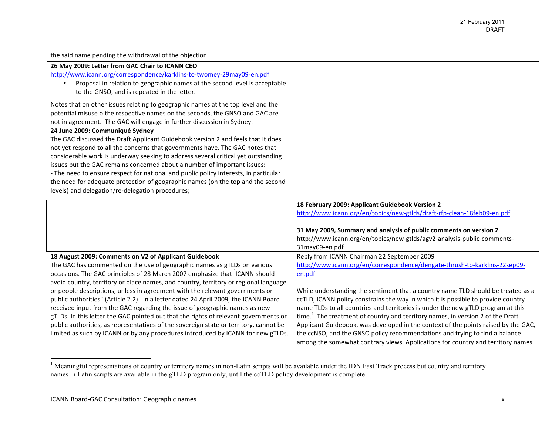| the said name pending the withdrawal of the objection.<br>26 May 2009: Letter from GAC Chair to ICANN CEO<br>http://www.icann.org/correspondence/karklins-to-twomey-29may09-en.pdf<br>Proposal in relation to geographic names at the second level is acceptable<br>to the GNSO, and is repeated in the letter.<br>Notes that on other issues relating to geographic names at the top level and the<br>potential misuse o the respective names on the seconds, the GNSO and GAC are<br>not in agreement. The GAC will engage in further discussion in Sydney.<br>24 June 2009: Communiqué Sydney<br>The GAC discussed the Draft Applicant Guidebook version 2 and feels that it does<br>not yet respond to all the concerns that governments have. The GAC notes that<br>considerable work is underway seeking to address several critical yet outstanding<br>issues but the GAC remains concerned about a number of important issues:<br>- The need to ensure respect for national and public policy interests, in particular<br>the need for adequate protection of geographic names (on the top and the second<br>levels) and delegation/re-delegation procedures;<br>18 February 2009: Applicant Guidebook Version 2<br>http://www.icann.org/en/topics/new-gtlds/draft-rfp-clean-18feb09-en.pdf<br>31 May 2009, Summary and analysis of public comments on version 2<br>http://www.icann.org/en/topics/new-gtlds/agv2-analysis-public-comments-<br>31may09-en.pdf<br>Reply from ICANN Chairman 22 September 2009<br>18 August 2009: Comments on V2 of Applicant Guidebook<br>http://www.icann.org/en/correspondence/dengate-thrush-to-karklins-22sep09-<br>The GAC has commented on the use of geographic names as gTLDs on various<br>occasions. The GAC principles of 28 March 2007 emphasize that ICANN should<br>en.pdf<br>avoid country, territory or place names, and country, territory or regional language<br>or people descriptions, unless in agreement with the relevant governments or<br>While understanding the sentiment that a country name TLD should be treated as a<br>ccTLD, ICANN policy constrains the way in which it is possible to provide country<br>public authorities" (Article 2.2). In a letter dated 24 April 2009, the ICANN Board<br>received input from the GAC regarding the issue of geographic names as new<br>name TLDs to all countries and territories is under the new gTLD program at this<br>time. $1$ The treatment of country and territory names, in version 2 of the Draft<br>gTLDs. In this letter the GAC pointed out that the rights of relevant governments or<br>public authorities, as representatives of the sovereign state or territory, cannot be<br>Applicant Guidebook, was developed in the context of the points raised by the GAC,<br>limited as such by ICANN or by any procedures introduced by ICANN for new gTLDs.<br>the ccNSO, and the GNSO policy recommendations and trying to find a balance<br>among the somewhat contrary views. Applications for country and territory names |  |
|-------------------------------------------------------------------------------------------------------------------------------------------------------------------------------------------------------------------------------------------------------------------------------------------------------------------------------------------------------------------------------------------------------------------------------------------------------------------------------------------------------------------------------------------------------------------------------------------------------------------------------------------------------------------------------------------------------------------------------------------------------------------------------------------------------------------------------------------------------------------------------------------------------------------------------------------------------------------------------------------------------------------------------------------------------------------------------------------------------------------------------------------------------------------------------------------------------------------------------------------------------------------------------------------------------------------------------------------------------------------------------------------------------------------------------------------------------------------------------------------------------------------------------------------------------------------------------------------------------------------------------------------------------------------------------------------------------------------------------------------------------------------------------------------------------------------------------------------------------------------------------------------------------------------------------------------------------------------------------------------------------------------------------------------------------------------------------------------------------------------------------------------------------------------------------------------------------------------------------------------------------------------------------------------------------------------------------------------------------------------------------------------------------------------------------------------------------------------------------------------------------------------------------------------------------------------------------------------------------------------------------------------------------------------------------------------------------------------------------------------------------------------------------------------------------------------------------------------------------------------------------------------------------------------------------------------------------------------------------------------------------------------------------------------------------------|--|
|                                                                                                                                                                                                                                                                                                                                                                                                                                                                                                                                                                                                                                                                                                                                                                                                                                                                                                                                                                                                                                                                                                                                                                                                                                                                                                                                                                                                                                                                                                                                                                                                                                                                                                                                                                                                                                                                                                                                                                                                                                                                                                                                                                                                                                                                                                                                                                                                                                                                                                                                                                                                                                                                                                                                                                                                                                                                                                                                                                                                                                                             |  |
|                                                                                                                                                                                                                                                                                                                                                                                                                                                                                                                                                                                                                                                                                                                                                                                                                                                                                                                                                                                                                                                                                                                                                                                                                                                                                                                                                                                                                                                                                                                                                                                                                                                                                                                                                                                                                                                                                                                                                                                                                                                                                                                                                                                                                                                                                                                                                                                                                                                                                                                                                                                                                                                                                                                                                                                                                                                                                                                                                                                                                                                             |  |
|                                                                                                                                                                                                                                                                                                                                                                                                                                                                                                                                                                                                                                                                                                                                                                                                                                                                                                                                                                                                                                                                                                                                                                                                                                                                                                                                                                                                                                                                                                                                                                                                                                                                                                                                                                                                                                                                                                                                                                                                                                                                                                                                                                                                                                                                                                                                                                                                                                                                                                                                                                                                                                                                                                                                                                                                                                                                                                                                                                                                                                                             |  |
|                                                                                                                                                                                                                                                                                                                                                                                                                                                                                                                                                                                                                                                                                                                                                                                                                                                                                                                                                                                                                                                                                                                                                                                                                                                                                                                                                                                                                                                                                                                                                                                                                                                                                                                                                                                                                                                                                                                                                                                                                                                                                                                                                                                                                                                                                                                                                                                                                                                                                                                                                                                                                                                                                                                                                                                                                                                                                                                                                                                                                                                             |  |
|                                                                                                                                                                                                                                                                                                                                                                                                                                                                                                                                                                                                                                                                                                                                                                                                                                                                                                                                                                                                                                                                                                                                                                                                                                                                                                                                                                                                                                                                                                                                                                                                                                                                                                                                                                                                                                                                                                                                                                                                                                                                                                                                                                                                                                                                                                                                                                                                                                                                                                                                                                                                                                                                                                                                                                                                                                                                                                                                                                                                                                                             |  |
|                                                                                                                                                                                                                                                                                                                                                                                                                                                                                                                                                                                                                                                                                                                                                                                                                                                                                                                                                                                                                                                                                                                                                                                                                                                                                                                                                                                                                                                                                                                                                                                                                                                                                                                                                                                                                                                                                                                                                                                                                                                                                                                                                                                                                                                                                                                                                                                                                                                                                                                                                                                                                                                                                                                                                                                                                                                                                                                                                                                                                                                             |  |
|                                                                                                                                                                                                                                                                                                                                                                                                                                                                                                                                                                                                                                                                                                                                                                                                                                                                                                                                                                                                                                                                                                                                                                                                                                                                                                                                                                                                                                                                                                                                                                                                                                                                                                                                                                                                                                                                                                                                                                                                                                                                                                                                                                                                                                                                                                                                                                                                                                                                                                                                                                                                                                                                                                                                                                                                                                                                                                                                                                                                                                                             |  |
|                                                                                                                                                                                                                                                                                                                                                                                                                                                                                                                                                                                                                                                                                                                                                                                                                                                                                                                                                                                                                                                                                                                                                                                                                                                                                                                                                                                                                                                                                                                                                                                                                                                                                                                                                                                                                                                                                                                                                                                                                                                                                                                                                                                                                                                                                                                                                                                                                                                                                                                                                                                                                                                                                                                                                                                                                                                                                                                                                                                                                                                             |  |
|                                                                                                                                                                                                                                                                                                                                                                                                                                                                                                                                                                                                                                                                                                                                                                                                                                                                                                                                                                                                                                                                                                                                                                                                                                                                                                                                                                                                                                                                                                                                                                                                                                                                                                                                                                                                                                                                                                                                                                                                                                                                                                                                                                                                                                                                                                                                                                                                                                                                                                                                                                                                                                                                                                                                                                                                                                                                                                                                                                                                                                                             |  |
|                                                                                                                                                                                                                                                                                                                                                                                                                                                                                                                                                                                                                                                                                                                                                                                                                                                                                                                                                                                                                                                                                                                                                                                                                                                                                                                                                                                                                                                                                                                                                                                                                                                                                                                                                                                                                                                                                                                                                                                                                                                                                                                                                                                                                                                                                                                                                                                                                                                                                                                                                                                                                                                                                                                                                                                                                                                                                                                                                                                                                                                             |  |
|                                                                                                                                                                                                                                                                                                                                                                                                                                                                                                                                                                                                                                                                                                                                                                                                                                                                                                                                                                                                                                                                                                                                                                                                                                                                                                                                                                                                                                                                                                                                                                                                                                                                                                                                                                                                                                                                                                                                                                                                                                                                                                                                                                                                                                                                                                                                                                                                                                                                                                                                                                                                                                                                                                                                                                                                                                                                                                                                                                                                                                                             |  |
|                                                                                                                                                                                                                                                                                                                                                                                                                                                                                                                                                                                                                                                                                                                                                                                                                                                                                                                                                                                                                                                                                                                                                                                                                                                                                                                                                                                                                                                                                                                                                                                                                                                                                                                                                                                                                                                                                                                                                                                                                                                                                                                                                                                                                                                                                                                                                                                                                                                                                                                                                                                                                                                                                                                                                                                                                                                                                                                                                                                                                                                             |  |
|                                                                                                                                                                                                                                                                                                                                                                                                                                                                                                                                                                                                                                                                                                                                                                                                                                                                                                                                                                                                                                                                                                                                                                                                                                                                                                                                                                                                                                                                                                                                                                                                                                                                                                                                                                                                                                                                                                                                                                                                                                                                                                                                                                                                                                                                                                                                                                                                                                                                                                                                                                                                                                                                                                                                                                                                                                                                                                                                                                                                                                                             |  |
|                                                                                                                                                                                                                                                                                                                                                                                                                                                                                                                                                                                                                                                                                                                                                                                                                                                                                                                                                                                                                                                                                                                                                                                                                                                                                                                                                                                                                                                                                                                                                                                                                                                                                                                                                                                                                                                                                                                                                                                                                                                                                                                                                                                                                                                                                                                                                                                                                                                                                                                                                                                                                                                                                                                                                                                                                                                                                                                                                                                                                                                             |  |
|                                                                                                                                                                                                                                                                                                                                                                                                                                                                                                                                                                                                                                                                                                                                                                                                                                                                                                                                                                                                                                                                                                                                                                                                                                                                                                                                                                                                                                                                                                                                                                                                                                                                                                                                                                                                                                                                                                                                                                                                                                                                                                                                                                                                                                                                                                                                                                                                                                                                                                                                                                                                                                                                                                                                                                                                                                                                                                                                                                                                                                                             |  |
|                                                                                                                                                                                                                                                                                                                                                                                                                                                                                                                                                                                                                                                                                                                                                                                                                                                                                                                                                                                                                                                                                                                                                                                                                                                                                                                                                                                                                                                                                                                                                                                                                                                                                                                                                                                                                                                                                                                                                                                                                                                                                                                                                                                                                                                                                                                                                                                                                                                                                                                                                                                                                                                                                                                                                                                                                                                                                                                                                                                                                                                             |  |
|                                                                                                                                                                                                                                                                                                                                                                                                                                                                                                                                                                                                                                                                                                                                                                                                                                                                                                                                                                                                                                                                                                                                                                                                                                                                                                                                                                                                                                                                                                                                                                                                                                                                                                                                                                                                                                                                                                                                                                                                                                                                                                                                                                                                                                                                                                                                                                                                                                                                                                                                                                                                                                                                                                                                                                                                                                                                                                                                                                                                                                                             |  |
|                                                                                                                                                                                                                                                                                                                                                                                                                                                                                                                                                                                                                                                                                                                                                                                                                                                                                                                                                                                                                                                                                                                                                                                                                                                                                                                                                                                                                                                                                                                                                                                                                                                                                                                                                                                                                                                                                                                                                                                                                                                                                                                                                                                                                                                                                                                                                                                                                                                                                                                                                                                                                                                                                                                                                                                                                                                                                                                                                                                                                                                             |  |
|                                                                                                                                                                                                                                                                                                                                                                                                                                                                                                                                                                                                                                                                                                                                                                                                                                                                                                                                                                                                                                                                                                                                                                                                                                                                                                                                                                                                                                                                                                                                                                                                                                                                                                                                                                                                                                                                                                                                                                                                                                                                                                                                                                                                                                                                                                                                                                                                                                                                                                                                                                                                                                                                                                                                                                                                                                                                                                                                                                                                                                                             |  |
|                                                                                                                                                                                                                                                                                                                                                                                                                                                                                                                                                                                                                                                                                                                                                                                                                                                                                                                                                                                                                                                                                                                                                                                                                                                                                                                                                                                                                                                                                                                                                                                                                                                                                                                                                                                                                                                                                                                                                                                                                                                                                                                                                                                                                                                                                                                                                                                                                                                                                                                                                                                                                                                                                                                                                                                                                                                                                                                                                                                                                                                             |  |
|                                                                                                                                                                                                                                                                                                                                                                                                                                                                                                                                                                                                                                                                                                                                                                                                                                                                                                                                                                                                                                                                                                                                                                                                                                                                                                                                                                                                                                                                                                                                                                                                                                                                                                                                                                                                                                                                                                                                                                                                                                                                                                                                                                                                                                                                                                                                                                                                                                                                                                                                                                                                                                                                                                                                                                                                                                                                                                                                                                                                                                                             |  |
|                                                                                                                                                                                                                                                                                                                                                                                                                                                                                                                                                                                                                                                                                                                                                                                                                                                                                                                                                                                                                                                                                                                                                                                                                                                                                                                                                                                                                                                                                                                                                                                                                                                                                                                                                                                                                                                                                                                                                                                                                                                                                                                                                                                                                                                                                                                                                                                                                                                                                                                                                                                                                                                                                                                                                                                                                                                                                                                                                                                                                                                             |  |
|                                                                                                                                                                                                                                                                                                                                                                                                                                                                                                                                                                                                                                                                                                                                                                                                                                                                                                                                                                                                                                                                                                                                                                                                                                                                                                                                                                                                                                                                                                                                                                                                                                                                                                                                                                                                                                                                                                                                                                                                                                                                                                                                                                                                                                                                                                                                                                                                                                                                                                                                                                                                                                                                                                                                                                                                                                                                                                                                                                                                                                                             |  |
|                                                                                                                                                                                                                                                                                                                                                                                                                                                                                                                                                                                                                                                                                                                                                                                                                                                                                                                                                                                                                                                                                                                                                                                                                                                                                                                                                                                                                                                                                                                                                                                                                                                                                                                                                                                                                                                                                                                                                                                                                                                                                                                                                                                                                                                                                                                                                                                                                                                                                                                                                                                                                                                                                                                                                                                                                                                                                                                                                                                                                                                             |  |
|                                                                                                                                                                                                                                                                                                                                                                                                                                                                                                                                                                                                                                                                                                                                                                                                                                                                                                                                                                                                                                                                                                                                                                                                                                                                                                                                                                                                                                                                                                                                                                                                                                                                                                                                                                                                                                                                                                                                                                                                                                                                                                                                                                                                                                                                                                                                                                                                                                                                                                                                                                                                                                                                                                                                                                                                                                                                                                                                                                                                                                                             |  |
|                                                                                                                                                                                                                                                                                                                                                                                                                                                                                                                                                                                                                                                                                                                                                                                                                                                                                                                                                                                                                                                                                                                                                                                                                                                                                                                                                                                                                                                                                                                                                                                                                                                                                                                                                                                                                                                                                                                                                                                                                                                                                                                                                                                                                                                                                                                                                                                                                                                                                                                                                                                                                                                                                                                                                                                                                                                                                                                                                                                                                                                             |  |
|                                                                                                                                                                                                                                                                                                                                                                                                                                                                                                                                                                                                                                                                                                                                                                                                                                                                                                                                                                                                                                                                                                                                                                                                                                                                                                                                                                                                                                                                                                                                                                                                                                                                                                                                                                                                                                                                                                                                                                                                                                                                                                                                                                                                                                                                                                                                                                                                                                                                                                                                                                                                                                                                                                                                                                                                                                                                                                                                                                                                                                                             |  |
|                                                                                                                                                                                                                                                                                                                                                                                                                                                                                                                                                                                                                                                                                                                                                                                                                                                                                                                                                                                                                                                                                                                                                                                                                                                                                                                                                                                                                                                                                                                                                                                                                                                                                                                                                                                                                                                                                                                                                                                                                                                                                                                                                                                                                                                                                                                                                                                                                                                                                                                                                                                                                                                                                                                                                                                                                                                                                                                                                                                                                                                             |  |
|                                                                                                                                                                                                                                                                                                                                                                                                                                                                                                                                                                                                                                                                                                                                                                                                                                                                                                                                                                                                                                                                                                                                                                                                                                                                                                                                                                                                                                                                                                                                                                                                                                                                                                                                                                                                                                                                                                                                                                                                                                                                                                                                                                                                                                                                                                                                                                                                                                                                                                                                                                                                                                                                                                                                                                                                                                                                                                                                                                                                                                                             |  |
|                                                                                                                                                                                                                                                                                                                                                                                                                                                                                                                                                                                                                                                                                                                                                                                                                                                                                                                                                                                                                                                                                                                                                                                                                                                                                                                                                                                                                                                                                                                                                                                                                                                                                                                                                                                                                                                                                                                                                                                                                                                                                                                                                                                                                                                                                                                                                                                                                                                                                                                                                                                                                                                                                                                                                                                                                                                                                                                                                                                                                                                             |  |
|                                                                                                                                                                                                                                                                                                                                                                                                                                                                                                                                                                                                                                                                                                                                                                                                                                                                                                                                                                                                                                                                                                                                                                                                                                                                                                                                                                                                                                                                                                                                                                                                                                                                                                                                                                                                                                                                                                                                                                                                                                                                                                                                                                                                                                                                                                                                                                                                                                                                                                                                                                                                                                                                                                                                                                                                                                                                                                                                                                                                                                                             |  |

 $\frac{1}{1}$  Meaningful representations of country or territory names in non-Latin scripts will be available under the IDN Fast Track process but country and territory names in Latin scripts are available in the gTLD program only, until the ccTLD policy development is complete.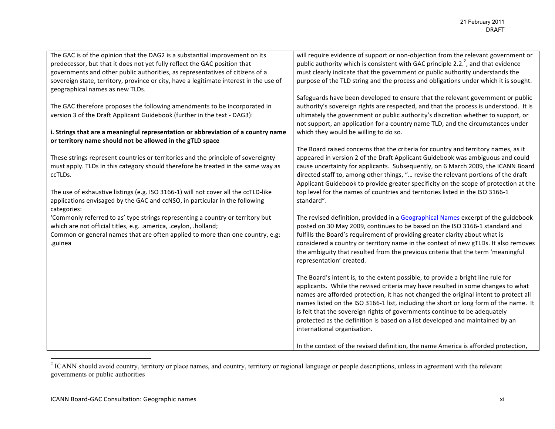| The GAC is of the opinion that the DAG2 is a substantial improvement on its            | will require evidence of support or non-objection from the relevant government or     |
|----------------------------------------------------------------------------------------|---------------------------------------------------------------------------------------|
| predecessor, but that it does not yet fully reflect the GAC position that              | public authority which is consistent with GAC principle 2.2. $^2$ , and that evidence |
| governments and other public authorities, as representatives of citizens of a          | must clearly indicate that the government or public authority understands the         |
| sovereign state, territory, province or city, have a legitimate interest in the use of | purpose of the TLD string and the process and obligations under which it is sought.   |
| geographical names as new TLDs.                                                        |                                                                                       |
|                                                                                        | Safeguards have been developed to ensure that the relevant government or public       |
| The GAC therefore proposes the following amendments to be incorporated in              | authority's sovereign rights are respected, and that the process is understood. It is |
| version 3 of the Draft Applicant Guidebook (further in the text - DAG3):               | ultimately the government or public authority's discretion whether to support, or     |
|                                                                                        | not support, an application for a country name TLD, and the circumstances under       |
| i. Strings that are a meaningful representation or abbreviation of a country name      | which they would be willing to do so.                                                 |
| or territory name should not be allowed in the gTLD space                              |                                                                                       |
|                                                                                        | The Board raised concerns that the criteria for country and territory names, as it    |
| These strings represent countries or territories and the principle of sovereignty      | appeared in version 2 of the Draft Applicant Guidebook was ambiguous and could        |
| must apply. TLDs in this category should therefore be treated in the same way as       | cause uncertainty for applicants. Subsequently, on 6 March 2009, the ICANN Board      |
| ccTLDs.                                                                                | directed staff to, among other things, " revise the relevant portions of the draft    |
|                                                                                        | Applicant Guidebook to provide greater specificity on the scope of protection at the  |
| The use of exhaustive listings (e.g. ISO 3166-1) will not cover all the ccTLD-like     | top level for the names of countries and territories listed in the ISO 3166-1         |
| applications envisaged by the GAC and ccNSO, in particular in the following            | standard".                                                                            |
|                                                                                        |                                                                                       |
| categories:                                                                            |                                                                                       |
| 'Commonly referred to as' type strings representing a country or territory but         | The revised definition, provided in a Geographical Names excerpt of the guidebook     |
| which are not official titles, e.g. .america, .ceylon, .holland;                       | posted on 30 May 2009, continues to be based on the ISO 3166-1 standard and           |
| Common or general names that are often applied to more than one country, e.g:          | fulfills the Board's requirement of providing greater clarity about what is           |
| .guinea                                                                                | considered a country or territory name in the context of new gTLDs. It also removes   |
|                                                                                        | the ambiguity that resulted from the previous criteria that the term 'meaningful      |
|                                                                                        | representation' created.                                                              |
|                                                                                        |                                                                                       |
|                                                                                        | The Board's intent is, to the extent possible, to provide a bright line rule for      |
|                                                                                        | applicants. While the revised criteria may have resulted in some changes to what      |
|                                                                                        | names are afforded protection, it has not changed the original intent to protect all  |
|                                                                                        | names listed on the ISO 3166-1 list, including the short or long form of the name. It |
|                                                                                        | is felt that the sovereign rights of governments continue to be adequately            |
|                                                                                        | protected as the definition is based on a list developed and maintained by an         |
|                                                                                        | international organisation.                                                           |
|                                                                                        |                                                                                       |
|                                                                                        | In the context of the revised definition, the name America is afforded protection,    |

 $\frac{1}{2}$  ICANN should avoid country, territory or place names, and country, territory or regional language or people descriptions, unless in agreement with the relevant governments or public authorities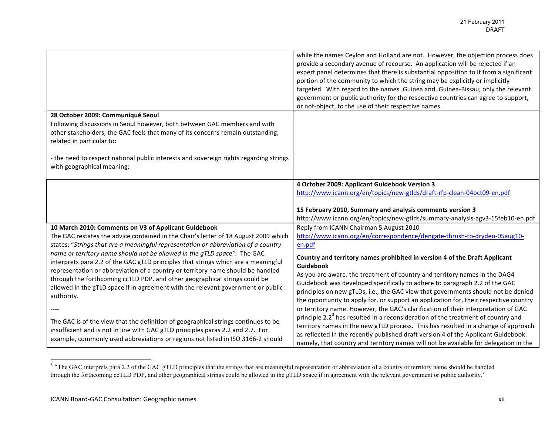|                                                                                                                                                                                                                                                                                                                                                        | while the names Ceylon and Holland are not. However, the objection process does<br>provide a secondary avenue of recourse. An application will be rejected if an<br>expert panel determines that there is substantial opposition to it from a significant<br>portion of the community to which the string may be explicitly or implicitly<br>targeted. With regard to the names . Guinea and . Guinea-Bissau; only the relevant<br>government or public authority for the respective countries can agree to support,<br>or not-object, to the use of their respective names. |
|--------------------------------------------------------------------------------------------------------------------------------------------------------------------------------------------------------------------------------------------------------------------------------------------------------------------------------------------------------|------------------------------------------------------------------------------------------------------------------------------------------------------------------------------------------------------------------------------------------------------------------------------------------------------------------------------------------------------------------------------------------------------------------------------------------------------------------------------------------------------------------------------------------------------------------------------|
| 28 October 2009: Communiqué Seoul<br>Following discussions in Seoul however, both between GAC members and with<br>other stakeholders, the GAC feels that many of its concerns remain outstanding,<br>related in particular to:<br>- the need to respect national public interests and sovereign rights regarding strings<br>with geographical meaning; |                                                                                                                                                                                                                                                                                                                                                                                                                                                                                                                                                                              |
|                                                                                                                                                                                                                                                                                                                                                        | 4 October 2009: Applicant Guidebook Version 3                                                                                                                                                                                                                                                                                                                                                                                                                                                                                                                                |
|                                                                                                                                                                                                                                                                                                                                                        | http://www.icann.org/en/topics/new-gtlds/draft-rfp-clean-04oct09-en.pdf                                                                                                                                                                                                                                                                                                                                                                                                                                                                                                      |
|                                                                                                                                                                                                                                                                                                                                                        | 15 February 2010, Summary and analysis comments version 3                                                                                                                                                                                                                                                                                                                                                                                                                                                                                                                    |
|                                                                                                                                                                                                                                                                                                                                                        | http://www.icann.org/en/topics/new-gtlds/summary-analysis-agv3-15feb10-en.pdf                                                                                                                                                                                                                                                                                                                                                                                                                                                                                                |
| 10 March 2010: Comments on V3 of Applicant Guidebook                                                                                                                                                                                                                                                                                                   | Reply from ICANN Chairman 5 August 2010                                                                                                                                                                                                                                                                                                                                                                                                                                                                                                                                      |
| The GAC restates the advice contained in the Chair's letter of 18 August 2009 which<br>states: "Strings that are a meaningful representation or abbreviation of a country                                                                                                                                                                              | http://www.icann.org/en/correspondence/dengate-thrush-to-dryden-05aug10-<br>en.pdf                                                                                                                                                                                                                                                                                                                                                                                                                                                                                           |
| name or territory name should not be allowed in the gTLD space". The GAC                                                                                                                                                                                                                                                                               |                                                                                                                                                                                                                                                                                                                                                                                                                                                                                                                                                                              |
| interprets para 2.2 of the GAC gTLD principles that strings which are a meaningful                                                                                                                                                                                                                                                                     | Country and territory names prohibited in version 4 of the Draft Applicant<br>Guidebook                                                                                                                                                                                                                                                                                                                                                                                                                                                                                      |
| representation or abbreviation of a country or territory name should be handled<br>through the forthcoming ccTLD PDP, and other geographical strings could be<br>allowed in the gTLD space if in agreement with the relevant government or public<br>authority.                                                                                        | As you are aware, the treatment of country and territory names in the DAG4<br>Guidebook was developed specifically to adhere to paragraph 2.2 of the GAC<br>principles on new gTLDs, i.e., the GAC view that governments should not be denied<br>the opportunity to apply for, or support an application for, their respective country                                                                                                                                                                                                                                       |
| The GAC is of the view that the definition of geographical strings continues to be<br>insufficient and is not in line with GAC gTLD principles paras 2.2 and 2.7. For<br>example, commonly used abbreviations or regions not listed in ISO 3166-2 should                                                                                               | or territory name. However, the GAC's clarification of their interpretation of GAC<br>principle 2.2 <sup>3</sup> has resulted in a reconsideration of the treatment of country and<br>territory names in the new gTLD process. This has resulted in a change of approach<br>as reflected in the recently published draft version 4 of the Applicant Guidebook:<br>namely, that country and territory names will not be available for delegation in the                                                                                                                       |

<sup>&</sup>lt;sup>3</sup> "The GAC interprets para 2.2 of the GAC gTLD principles that the strings that are meaningful representation or abbreviation of a country or territory name should be handled through the forthcoming ccTLD PDP, and other geographical strings could be allowed in the gTLD space if in agreement with the relevant government or public authority."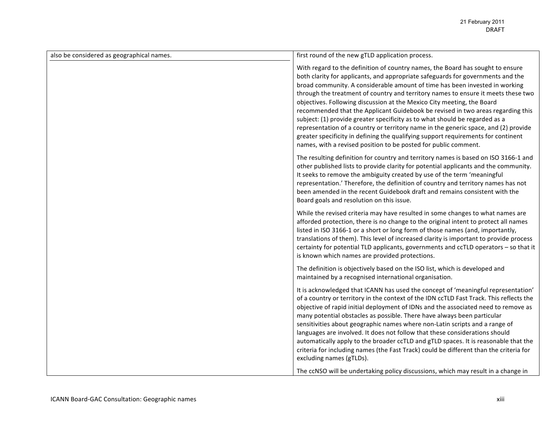| also be considered as geographical names. | first round of the new gTLD application process.                                                                                                                                                                                                                                                                                                                                                                                                                                                                                                                                                                                                                                                                                                                                                                                 |
|-------------------------------------------|----------------------------------------------------------------------------------------------------------------------------------------------------------------------------------------------------------------------------------------------------------------------------------------------------------------------------------------------------------------------------------------------------------------------------------------------------------------------------------------------------------------------------------------------------------------------------------------------------------------------------------------------------------------------------------------------------------------------------------------------------------------------------------------------------------------------------------|
|                                           | With regard to the definition of country names, the Board has sought to ensure<br>both clarity for applicants, and appropriate safeguards for governments and the<br>broad community. A considerable amount of time has been invested in working<br>through the treatment of country and territory names to ensure it meets these two<br>objectives. Following discussion at the Mexico City meeting, the Board<br>recommended that the Applicant Guidebook be revised in two areas regarding this<br>subject: (1) provide greater specificity as to what should be regarded as a<br>representation of a country or territory name in the generic space, and (2) provide<br>greater specificity in defining the qualifying support requirements for continent<br>names, with a revised position to be posted for public comment. |
|                                           | The resulting definition for country and territory names is based on ISO 3166-1 and<br>other published lists to provide clarity for potential applicants and the community.<br>It seeks to remove the ambiguity created by use of the term 'meaningful<br>representation.' Therefore, the definition of country and territory names has not<br>been amended in the recent Guidebook draft and remains consistent with the<br>Board goals and resolution on this issue.                                                                                                                                                                                                                                                                                                                                                           |
|                                           | While the revised criteria may have resulted in some changes to what names are<br>afforded protection, there is no change to the original intent to protect all names<br>listed in ISO 3166-1 or a short or long form of those names (and, importantly,<br>translations of them). This level of increased clarity is important to provide process<br>certainty for potential TLD applicants, governments and ccTLD operators - so that it<br>is known which names are provided protections.                                                                                                                                                                                                                                                                                                                                      |
|                                           | The definition is objectively based on the ISO list, which is developed and<br>maintained by a recognised international organisation.                                                                                                                                                                                                                                                                                                                                                                                                                                                                                                                                                                                                                                                                                            |
|                                           | It is acknowledged that ICANN has used the concept of 'meaningful representation'<br>of a country or territory in the context of the IDN ccTLD Fast Track. This reflects the<br>objective of rapid initial deployment of IDNs and the associated need to remove as<br>many potential obstacles as possible. There have always been particular<br>sensitivities about geographic names where non-Latin scripts and a range of<br>languages are involved. It does not follow that these considerations should<br>automatically apply to the broader ccTLD and gTLD spaces. It is reasonable that the<br>criteria for including names (the Fast Track) could be different than the criteria for<br>excluding names (gTLDs).                                                                                                         |
|                                           | The ccNSO will be undertaking policy discussions, which may result in a change in                                                                                                                                                                                                                                                                                                                                                                                                                                                                                                                                                                                                                                                                                                                                                |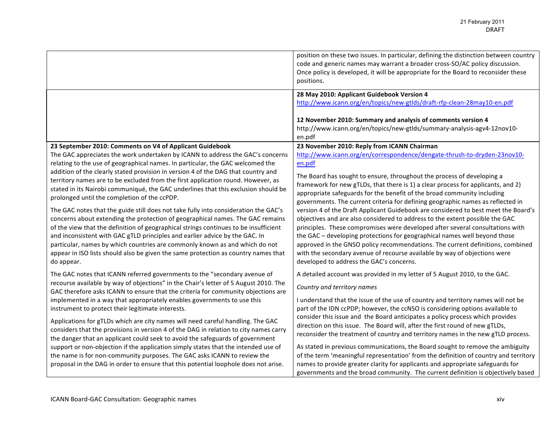|                                                                                                                                                                                                                                                                                                                                                                                                                                                                                                                                             | position on these two issues. In particular, defining the distinction between country<br>code and generic names may warrant a broader cross-SO/AC policy discussion.<br>Once policy is developed, it will be appropriate for the Board to reconsider these<br>positions.                                                                                                                                                                                                                                                                                                                                                       |
|---------------------------------------------------------------------------------------------------------------------------------------------------------------------------------------------------------------------------------------------------------------------------------------------------------------------------------------------------------------------------------------------------------------------------------------------------------------------------------------------------------------------------------------------|--------------------------------------------------------------------------------------------------------------------------------------------------------------------------------------------------------------------------------------------------------------------------------------------------------------------------------------------------------------------------------------------------------------------------------------------------------------------------------------------------------------------------------------------------------------------------------------------------------------------------------|
|                                                                                                                                                                                                                                                                                                                                                                                                                                                                                                                                             | 28 May 2010: Applicant Guidebook Version 4<br>http://www.icann.org/en/topics/new-gtlds/draft-rfp-clean-28may10-en.pdf<br>12 November 2010: Summary and analysis of comments version 4<br>http://www.icann.org/en/topics/new-gtlds/summary-analysis-agv4-12nov10-<br>en.pdf                                                                                                                                                                                                                                                                                                                                                     |
| 23 September 2010: Comments on V4 of Applicant Guidebook<br>The GAC appreciates the work undertaken by ICANN to address the GAC's concerns<br>relating to the use of geographical names. In particular, the GAC welcomed the<br>addition of the clearly stated provision in version 4 of the DAG that country and<br>territory names are to be excluded from the first application round. However, as<br>stated in its Nairobi communiqué, the GAC underlines that this exclusion should be<br>prolonged until the completion of the ccPDP. | 23 November 2010: Reply from ICANN Chairman<br>http://www.icann.org/en/correspondence/dengate-thrush-to-dryden-23nov10-<br>en.pdf<br>The Board has sought to ensure, throughout the process of developing a<br>framework for new gTLDs, that there is 1) a clear process for applicants, and 2)<br>appropriate safeguards for the benefit of the broad community including                                                                                                                                                                                                                                                     |
| The GAC notes that the guide still does not take fully into consideration the GAC's<br>concerns about extending the protection of geographical names. The GAC remains<br>of the view that the definition of geographical strings continues to be insufficient<br>and inconsistent with GAC gTLD principles and earlier advice by the GAC. In<br>particular, names by which countries are commonly known as and which do not<br>appear in ISO lists should also be given the same protection as country names that<br>do appear.             | governments. The current criteria for defining geographic names as reflected in<br>version 4 of the Draft Applicant Guidebook are considered to best meet the Board's<br>objectives and are also considered to address to the extent possible the GAC<br>principles. These compromises were developed after several consultations with<br>the GAC - developing protections for geographical names well beyond those<br>approved in the GNSO policy recommendations. The current definitions, combined<br>with the secondary avenue of recourse available by way of objections were<br>developed to address the GAC's concerns. |
| The GAC notes that ICANN referred governments to the "secondary avenue of<br>recourse available by way of objections" in the Chair's letter of 5 August 2010. The<br>GAC therefore asks ICANN to ensure that the criteria for community objections are<br>implemented in a way that appropriately enables governments to use this<br>instrument to protect their legitimate interests.                                                                                                                                                      | A detailed account was provided in my letter of 5 August 2010, to the GAC.<br>Country and territory names<br>I understand that the issue of the use of country and territory names will not be<br>part of the IDN ccPDP; however, the ccNSO is considering options available to                                                                                                                                                                                                                                                                                                                                                |
| Applications for gTLDs which are city names will need careful handling. The GAC<br>considers that the provisions in version 4 of the DAG in relation to city names carry<br>the danger that an applicant could seek to avoid the safeguards of government<br>support or non-objection if the application simply states that the intended use of<br>the name is for non-community purposes. The GAC asks ICANN to review the<br>proposal in the DAG in order to ensure that this potential loophole does not arise.                          | consider this issue and the Board anticipates a policy process which provides<br>direction on this issue. The Board will, after the first round of new gTLDs,<br>reconsider the treatment of country and territory names in the new gTLD process.<br>As stated in previous communications, the Board sought to remove the ambiguity<br>of the term 'meaningful representation' from the definition of country and territory<br>names to provide greater clarity for applicants and appropriate safeguards for<br>governments and the broad community. The current definition is objectively based                              |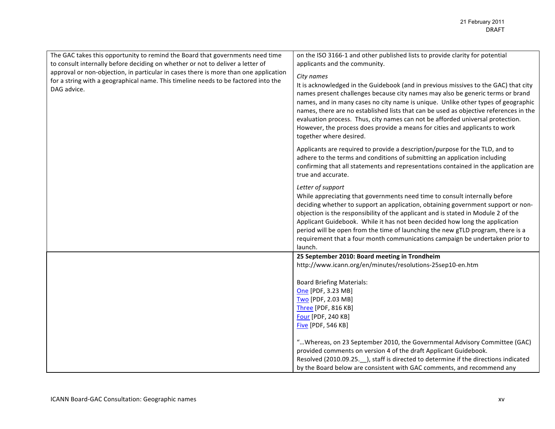| The GAC takes this opportunity to remind the Board that governments need time<br>to consult internally before deciding on whether or not to deliver a letter of<br>approval or non-objection, in particular in cases there is more than one application<br>for a string with a geographical name. This timeline needs to be factored into the<br>DAG advice. | on the ISO 3166-1 and other published lists to provide clarity for potential<br>applicants and the community.<br>City names<br>It is acknowledged in the Guidebook (and in previous missives to the GAC) that city<br>names present challenges because city names may also be generic terms or brand<br>names, and in many cases no city name is unique. Unlike other types of geographic<br>names, there are no established lists that can be used as objective references in the<br>evaluation process. Thus, city names can not be afforded universal protection.<br>However, the process does provide a means for cities and applicants to work<br>together where desired. |
|--------------------------------------------------------------------------------------------------------------------------------------------------------------------------------------------------------------------------------------------------------------------------------------------------------------------------------------------------------------|--------------------------------------------------------------------------------------------------------------------------------------------------------------------------------------------------------------------------------------------------------------------------------------------------------------------------------------------------------------------------------------------------------------------------------------------------------------------------------------------------------------------------------------------------------------------------------------------------------------------------------------------------------------------------------|
|                                                                                                                                                                                                                                                                                                                                                              | Applicants are required to provide a description/purpose for the TLD, and to<br>adhere to the terms and conditions of submitting an application including<br>confirming that all statements and representations contained in the application are<br>true and accurate.                                                                                                                                                                                                                                                                                                                                                                                                         |
|                                                                                                                                                                                                                                                                                                                                                              | Letter of support<br>While appreciating that governments need time to consult internally before<br>deciding whether to support an application, obtaining government support or non-<br>objection is the responsibility of the applicant and is stated in Module 2 of the<br>Applicant Guidebook. While it has not been decided how long the application<br>period will be open from the time of launching the new gTLD program, there is a<br>requirement that a four month communications campaign be undertaken prior to<br>launch.                                                                                                                                          |
|                                                                                                                                                                                                                                                                                                                                                              | 25 September 2010: Board meeting in Trondheim<br>http://www.icann.org/en/minutes/resolutions-25sep10-en.htm<br><b>Board Briefing Materials:</b><br>One [PDF, 3.23 MB]<br>Two [PDF, 2.03 MB]<br>Three [PDF, 816 KB]<br>Four [PDF, 240 KB]<br><b>Five [PDF, 546 KB]</b><br>" Whereas, on 23 September 2010, the Governmental Advisory Committee (GAC)<br>provided comments on version 4 of the draft Applicant Guidebook.<br>Resolved (2010.09.25. __ ), staff is directed to determine if the directions indicated<br>by the Board below are consistent with GAC comments, and recommend any                                                                                    |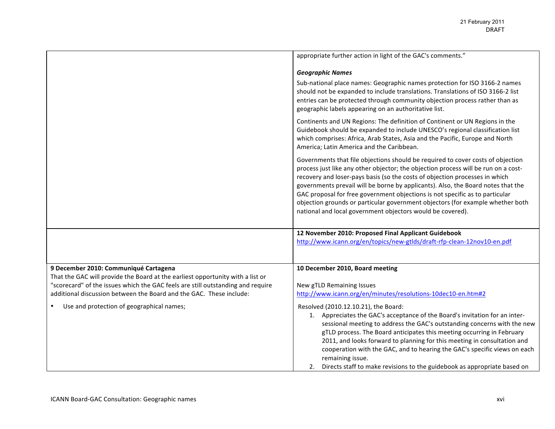|                                                                                                                                                                                                                                                                                   | appropriate further action in light of the GAC's comments."                                                                                                                                                                                                                                                                                                                                                                                                                                                                                                              |
|-----------------------------------------------------------------------------------------------------------------------------------------------------------------------------------------------------------------------------------------------------------------------------------|--------------------------------------------------------------------------------------------------------------------------------------------------------------------------------------------------------------------------------------------------------------------------------------------------------------------------------------------------------------------------------------------------------------------------------------------------------------------------------------------------------------------------------------------------------------------------|
|                                                                                                                                                                                                                                                                                   | <b>Geographic Names</b>                                                                                                                                                                                                                                                                                                                                                                                                                                                                                                                                                  |
|                                                                                                                                                                                                                                                                                   | Sub-national place names: Geographic names protection for ISO 3166-2 names<br>should not be expanded to include translations. Translations of ISO 3166-2 list<br>entries can be protected through community objection process rather than as<br>geographic labels appearing on an authoritative list.                                                                                                                                                                                                                                                                    |
|                                                                                                                                                                                                                                                                                   | Continents and UN Regions: The definition of Continent or UN Regions in the<br>Guidebook should be expanded to include UNESCO's regional classification list<br>which comprises: Africa, Arab States, Asia and the Pacific, Europe and North<br>America; Latin America and the Caribbean.                                                                                                                                                                                                                                                                                |
|                                                                                                                                                                                                                                                                                   | Governments that file objections should be required to cover costs of objection<br>process just like any other objector; the objection process will be run on a cost-<br>recovery and loser-pays basis (so the costs of objection processes in which<br>governments prevail will be borne by applicants). Also, the Board notes that the<br>GAC proposal for free government objections is not specific as to particular<br>objection grounds or particular government objectors (for example whether both<br>national and local government objectors would be covered). |
|                                                                                                                                                                                                                                                                                   | 12 November 2010: Proposed Final Applicant Guidebook<br>http://www.icann.org/en/topics/new-gtlds/draft-rfp-clean-12nov10-en.pdf                                                                                                                                                                                                                                                                                                                                                                                                                                          |
| 9 December 2010: Communiqué Cartagena<br>That the GAC will provide the Board at the earliest opportunity with a list or<br>"scorecard" of the issues which the GAC feels are still outstanding and require<br>additional discussion between the Board and the GAC. These include: | 10 December 2010, Board meeting<br>New gTLD Remaining Issues<br>http://www.icann.org/en/minutes/resolutions-10dec10-en.htm#2                                                                                                                                                                                                                                                                                                                                                                                                                                             |
| Use and protection of geographical names;                                                                                                                                                                                                                                         | Resolved (2010.12.10.21), the Board:<br>1. Appreciates the GAC's acceptance of the Board's invitation for an inter-<br>sessional meeting to address the GAC's outstanding concerns with the new<br>gTLD process. The Board anticipates this meeting occurring in February<br>2011, and looks forward to planning for this meeting in consultation and<br>cooperation with the GAC, and to hearing the GAC's specific views on each<br>remaining issue.<br>Directs staff to make revisions to the guidebook as appropriate based on                                       |